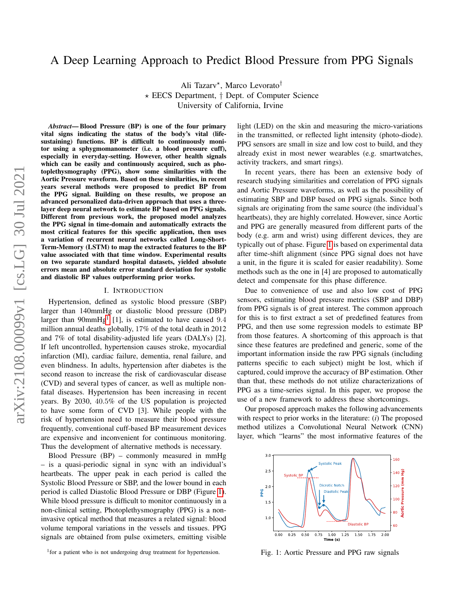# A Deep Learning Approach to Predict Blood Pressure from PPG Signals

Ali Tazarv\*, Marco Levorato<sup>†</sup>  $\star$  EECS Department,  $\dagger$  Dept. of Computer Science University of California, Irvine

*Abstract*— Blood Pressure (BP) is one of the four primary vital signs indicating the status of the body's vital (lifesustaining) functions. BP is difficult to continuously monitor using a sphygmomanometer (i.e. a blood pressure cuff), especially in everyday-setting. However, other health signals which can be easily and continuously acquired, such as photoplethysmography (PPG), show some similarities with the Aortic Pressure waveform. Based on these similarities, in recent years several methods were proposed to predict BP from the PPG signal. Building on these results, we propose an advanced personalized data-driven approach that uses a threelayer deep neural network to estimate BP based on PPG signals. Different from previous work, the proposed model analyzes the PPG signal in time-domain and automatically extracts the most critical features for this specific application, then uses a variation of recurrent neural networks called Long-Short-Term-Memory (LSTM) to map the extracted features to the BP value associated with that time window. Experimental results on two separate standard hospital datasets, yielded absolute errors mean and absolute error standard deviation for systolic and diastolic BP values outperforming prior works.

### I. INTRODUCTION

Hypertension, defined as systolic blood pressure (SBP) larger than 140mmHg or diastolic blood pressure (DBP) larger than  $90$ mm $Hg<sup>1</sup>$  $Hg<sup>1</sup>$  $Hg<sup>1</sup>$  [1], is estimated to have caused 9.4 million annual deaths globally, 17% of the total death in 2012 and 7% of total disability-adjusted life years (DALYs) [2]. If left uncontrolled, hypertension causes stroke, myocardial infarction (MI), cardiac failure, dementia, renal failure, and even blindness. In adults, hypertension after diabetes is the second reason to increase the risk of cardiovascular disease (CVD) and several types of cancer, as well as multiple nonfatal diseases. Hypertension has been increasing in recent years. By 2030, 40.5% of the US population is projected to have some form of CVD [3]. While people with the risk of hypertension need to measure their blood pressure frequently, conventional cuff-based BP measurement devices are expensive and inconvenient for continuous monitoring. Thus the development of alternative methods is necessary.

Blood Pressure (BP) – commonly measured in mmHg – is a quasi-periodic signal in sync with an individual's heartbeats. The upper peak in each period is called the Systolic Blood Pressure or SBP, and the lower bound in each period is called Diastolic Blood Pressure or DBP (Figure [1\)](#page-0-1). While blood pressure is difficult to monitor continuously in a non-clinical setting, Photoplethysmography (PPG) is a noninvasive optical method that measures a related signal: blood volume temporal variations in the vessels and tissues. PPG signals are obtained from pulse oximeters, emitting visible light (LED) on the skin and measuring the micro-variations in the transmitted, or reflected light intensity (photo-diode). PPG sensors are small in size and low cost to build, and they already exist in most newer wearables (e.g. smartwatches, activity trackers, and smart rings).

In recent years, there has been an extensive body of research studying similarities and correlation of PPG signals and Aortic Pressure waveforms, as well as the possibility of estimating SBP and DBP based on PPG signals. Since both signals are originating from the same source (the individual's heartbeats), they are highly correlated. However, since Aortic and PPG are generally measured from different parts of the body (e.g. arm and wrist) using different devices, they are typically out of phase. Figure [1](#page-0-1) is based on experimental data after time-shift alignment (since PPG signal does not have a unit, in the figure it is scaled for easier readability). Some methods such as the one in [4] are proposed to automatically detect and compensate for this phase difference.

Due to convenience of use and also low cost of PPG sensors, estimating blood pressure metrics (SBP and DBP) from PPG signals is of great interest. The common approach for this is to first extract a set of predefined features from PPG, and then use some regression models to estimate BP from those features. A shortcoming of this approach is that since these features are predefined and generic, some of the important information inside the raw PPG signals (including patterns specific to each subject) might be lost, which if captured, could improve the accuracy of BP estimation. Other than that, these methods do not utilize characterizations of PPG as a time-series signal. In this paper, we propose the use of a new framework to address these shortcomings.

Our proposed approach makes the following advancements with respect to prior works in the literature: (*i*) The proposed method utilizes a Convolutional Neural Network (CNN) layer, which "learns" the most informative features of the

<span id="page-0-1"></span>

Fig. 1: Aortic Pressure and PPG raw signals

<span id="page-0-0"></span><sup>&</sup>lt;sup>1</sup> for a patient who is not undergoing drug treatment for hypertension.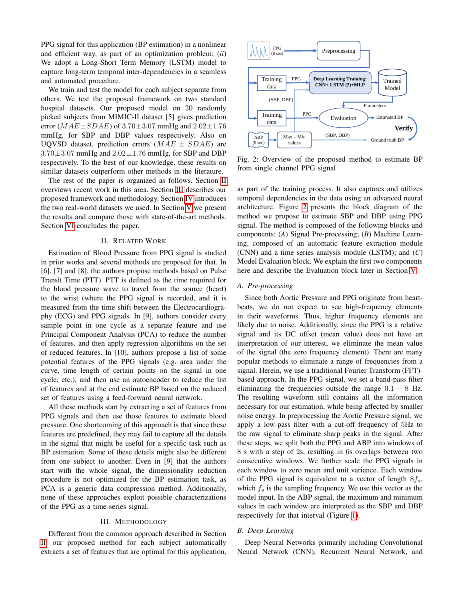PPG signal for this application (BP estimation) in a nonlinear and efficient way, as part of an optimization problem; (*ii*) We adopt a Long-Short Term Memory (LSTM) model to capture long-term temporal inter-dependencies in a seamless and automated procedure.

We train and test the model for each subject separate from others. We test the proposed framework on two standard hospital datasets. Our proposed model on 20 randomly picked subjects from MIMIC-II dataset [5] gives prediction error  $(MAE \pm SDAE)$  of 3.70 $\pm$ 3.07 mmHg and 2.02 $\pm$ 1.76 mmHg, for SBP and DBP values respectively. Also on UQVSD dataset, prediction errors  $(MAE \pm SDAE)$  are  $3.70\pm3.07$  mmHg and  $2.02\pm1.76$  mmHg, for SBP and DBP respectively. To the best of our knowledge, these results on similar datasets outperform other methods in the literature.

The rest of the paper is organized as follows. Section [II](#page-1-0) overviews recent work in this area. Section [III](#page-1-1) describes our proposed framework and methodology. Section [IV](#page-2-0) introduces the two real-world datasets we used. In Section [V](#page-2-1) we present the results and compare those with state-of-the-art methods. Section [VI](#page-4-0) concludes the paper.

## II. RELATED WORK

<span id="page-1-0"></span>Estimation of Blood Pressure from PPG signal is studied in prior works and several methods are proposed for that. In [6], [7] and [8], the authors propose methods based on Pulse Transit Time (PTT). PTT is defined as the time required for the blood pressure wave to travel from the source (heart) to the wrist (where the PPG signal is recorded, and it is measured from the time shift between the Electrocardiography (ECG) and PPG signals. In [9], authors consider every sample point in one cycle as a separate feature and use Principal Component Analysis (PCA) to reduce the number of features, and then apply regression algorithms on the set of reduced features. In [10], authors propose a list of some potential features of the PPG signals (e.g. area under the curve, time length of certain points on the signal in one cycle, etc.), and then use an autoencoder to reduce the list of features and at the end estimate BP based on the reduced set of features using a feed-forward neural network.

All these methods start by extracting a set of features from PPG signals and then use those features to estimate blood pressure. One shortcoming of this approach is that since these features are predefined, they may fail to capture all the details in the signal that might be useful for a specific task such as BP estimation. Some of these details might also be different from one subject to another. Even in [9] that the authors start with the whole signal, the dimensionality reduction procedure is not optimized for the BP estimation task, as PCA is a generic data compression method. Additionally, none of these approaches exploit possible characterizations of the PPG as a time-series signal.

### III. METHODOLOGY

<span id="page-1-1"></span>Different from the common approach described in Section [II,](#page-1-0) our proposed method for each subject automatically extracts a set of features that are optimal for this application,

<span id="page-1-2"></span>

Fig. 2: Overview of the proposed method to estimate BP from single channel PPG signal

as part of the training process. It also captures and utilizes temporal dependencies in the data using an advanced neural architecture. Figure [2](#page-1-2) presents the block diagram of the method we propose to estimate SBP and DBP using PPG signal. The method is composed of the following blocks and components: (*A*) Signal Pre-processing; (*B*) Machine Learning, composed of an automatic feature extraction module (CNN) and a time series analysis module (LSTM); and (*C*) Model Evaluation block. We explain the first two components here and describe the Evaluation block later in Section [V.](#page-2-1)

## *A. Pre-processing*

Since both Aortic Pressure and PPG originate from heartbeats, we do not expect to see high-frequency elements in their waveforms. Thus, higher frequency elements are likely due to noise. Additionally, since the PPG is a relative signal and its DC offset (mean value) does not have an interpretation of our interest, we eliminate the mean value of the signal (the zero frequency element). There are many popular methods to eliminate a range of frequencies from a signal. Herein, we use a traditional Fourier Transform (FFT) based approach. In the PPG signal, we set a band-pass filter eliminating the frequencies outside the range  $0.1 - 8$  Hz. The resulting waveform still contains all the information necessary for our estimation, while being affected by smaller noise energy. In preprocessing the Aortic Pressure signal, we apply a low-pass filter with a cut-off frequency of 5Hz to the raw signal to eliminate sharp peaks in the signal. After these steps, we split both the PPG and ABP into windows of 8 s with a step of 2s, resulting in 6s overlaps between two consecutive windows. We further scale the PPG signals in each window to zero mean and unit variance. Each window of the PPG signal is equivalent to a vector of length  $8f_s$ , which  $f_s$  is the sampling frequency. We use this vector as the model input. In the ABP signal, the maximum and minimum values in each window are interpreted as the SBP and DBP respectively for that interval (Figure [1\)](#page-0-1).

### *B. Deep Learning*

Deep Neural Networks primarily including Convolutional Neural Network (CNN), Recurrent Neural Network, and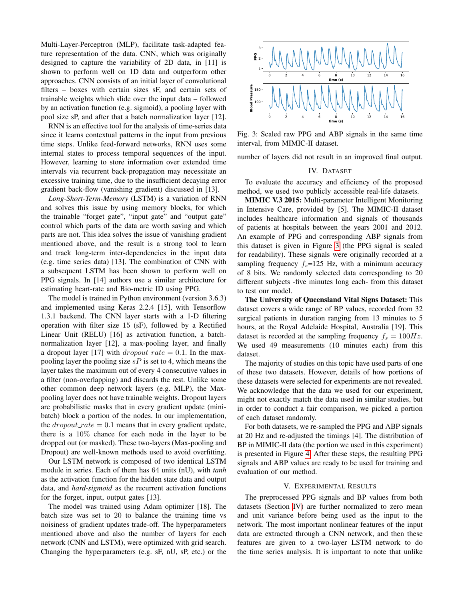Multi-Layer-Perceptron (MLP), facilitate task-adapted feature representation of the data. CNN, which was originally designed to capture the variability of 2D data, in [11] is shown to perform well on 1D data and outperform other approaches. CNN consists of an initial layer of convolutional filters – boxes with certain sizes sF, and certain sets of trainable weights which slide over the input data – followed by an activation function (e.g. sigmoid), a pooling layer with pool size sP, and after that a batch normalization layer [12].

RNN is an effective tool for the analysis of time-series data since it learns contextual patterns in the input from previous time steps. Unlike feed-forward networks, RNN uses some internal states to process temporal sequences of the input. However, learning to store information over extended time intervals via recurrent back-propagation may necessitate an excessive training time, due to the insufficient decaying error gradient back-flow (vanishing gradient) discussed in [13].

*Long-Short-Term-Memory* (LSTM) is a variation of RNN and solves this issue by using memory blocks, for which the trainable "forget gate", "input gate" and "output gate" control which parts of the data are worth saving and which parts are not. This idea solves the issue of vanishing gradient mentioned above, and the result is a strong tool to learn and track long-term inter-dependencies in the input data (e.g. time series data) [13]. The combination of CNN with a subsequent LSTM has been shown to perform well on PPG signals. In [14] authors use a similar architecture for estimating heart-rate and Bio-metric ID using PPG.

The model is trained in Python environment (version 3.6.3) and implemented using Keras 2.2.4 [15], with Tensorflow 1.3.1 backend. The CNN layer starts with a 1-D filtering operation with filter size 15 (sF), followed by a Rectified Linear Unit (RELU) [16] as activation function, a batchnormalization layer [12], a max-pooling layer, and finally a dropout layer [17] with  $dropout_rate = 0.1$ . In the maxpooling layer the pooling size  $sP$  is set to 4, which means the layer takes the maximum out of every 4 consecutive values in a filter (non-overlapping) and discards the rest. Unlike some other common deep network layers (e.g. MLP), the Maxpooling layer does not have trainable weights. Dropout layers are probabilistic masks that in every gradient update (minibatch) block a portion of the nodes. In our implementation, the  $dropout_rate = 0.1$  means that in every gradient update, there is a 10% chance for each node in the layer to be dropped out (or masked). These two-layers (Max-pooling and Dropout) are well-known methods used to avoid overfitting.

Our LSTM network is composed of two identical LSTM module in series. Each of them has 64 units (nU), with *tanh* as the activation function for the hidden state data and output data, and *hard-sigmoid* as the recurrent activation functions for the forget, input, output gates [13].

The model was trained using Adam optimizer [18]. The batch size was set to 20 to balance the training time vs noisiness of gradient updates trade-off. The hyperparameters mentioned above and also the number of layers for each network (CNN and LSTM), were optimized with grid search. Changing the hyperparameters (e.g. sF, nU, sP, etc.) or the

<span id="page-2-2"></span>

Fig. 3: Scaled raw PPG and ABP signals in the same time interval, from MIMIC-II dataset.

<span id="page-2-0"></span>number of layers did not result in an improved final output.

## IV. DATASET

To evaluate the accuracy and efficiency of the proposed method, we used two publicly accessible real-life datasets.

MIMIC V.3 2015: Multi-parameter Intelligent Monitoring in Intensive Care, provided by [5]. The MIMIC-II dataset includes healthcare information and signals of thousands of patients at hospitals between the years 2001 and 2012. An example of PPG and corresponding ABP signals from this dataset is given in Figure [3](#page-2-2) (the PPG signal is scaled for readability). These signals were originally recorded at a sampling frequency  $f_s = 125$  Hz, with a minimum accuracy of 8 bits. We randomly selected data corresponding to 20 different subjects -five minutes long each- from this dataset to test our model.

The University of Queensland Vital Signs Dataset: This dataset covers a wide range of BP values, recorded from 32 surgical patients in duration ranging from 13 minutes to 5 hours, at the Royal Adelaide Hospital, Australia [19]. This dataset is recorded at the sampling frequency  $f_s = 100Hz$ . We used 49 measurements (10 minutes each) from this dataset.

The majority of studies on this topic have used parts of one of these two datasets. However, details of how portions of these datasets were selected for experiments are not revealed. We acknowledge that the data we used for our experiment, might not exactly match the data used in similar studies, but in order to conduct a fair comparison, we picked a portion of each dataset randomly.

For both datasets, we re-sampled the PPG and ABP signals at 20 Hz and re-adjusted the timings [4]. The distribution of BP in MIMIC-II data (the portion we used in this experiment) is presented in Figure [4.](#page-3-0) After these steps, the resulting PPG signals and ABP values are ready to be used for training and evaluation of our method.

## V. EXPERIMENTAL RESULTS

<span id="page-2-1"></span>The preprocessed PPG signals and BP values from both datasets (Section [IV\)](#page-2-0) are further normalized to zero mean and unit variance before being used as the input to the network. The most important nonlinear features of the input data are extracted through a CNN network, and then these features are given to a two-layer LSTM network to do the time series analysis. It is important to note that unlike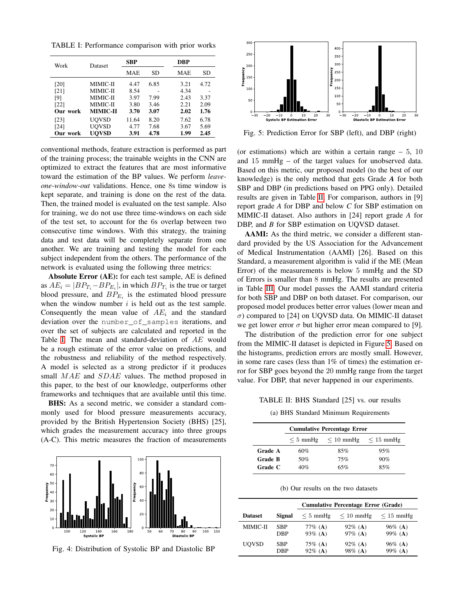<span id="page-3-1"></span>TABLE I: Performance comparison with prior works

| Work     | Dataset         | <b>SBP</b> |           | <b>DBP</b> |           |  |
|----------|-----------------|------------|-----------|------------|-----------|--|
|          |                 | <b>MAE</b> | <b>SD</b> | <b>MAE</b> | <b>SD</b> |  |
| [20]     | MIMIC-II        | 4.47       | 6.85      | 3.21       | 4.72      |  |
| [21]     | MIMIC-II        | 8.54       |           | 4.34       |           |  |
| [9]      | MIMIC-II        | 3.97       | 7.99      | 2.43       | 3.37      |  |
| [22]     | MIMIC-II        | 3.80       | 3.46      | 2.21       | 2.09      |  |
| Our work | <b>MIMIC-II</b> | 3.70       | 3.07      | 2.02       | 1.76      |  |
| [23]     | UOVSD           | 11.64      | 8.20      | 7.62       | 6.78      |  |
| [24]     | <b>UOVSD</b>    | 4.77       | 7.68      | 3.67       | 5.69      |  |
| Our work | <b>UOVSD</b>    | 3.91       | 4.78      | 1.99       | 2.45      |  |

conventional methods, feature extraction is performed as part of the training process; the trainable weights in the CNN are optimized to extract the features that are most informative toward the estimation of the BP values. We perform *leaveone-window-out* validations. Hence, one 8s time window is kept separate, and training is done on the rest of the data. Then, the trained model is evaluated on the test sample. Also for training, we do not use three time-windows on each side of the test set, to account for the 6s overlap between two consecutive time windows. With this strategy, the training data and test data will be completely separate from one another. We are training and testing the model for each subject independent from the others. The performance of the network is evaluated using the following three metrics:

Absolute Error (AE): for each test sample, AE is defined as  $AE_i = |BP_{T_i} - BP_{E_i}|$ , in which  $BP_{T_i}$  is the true or target blood pressure, and  $BP_{E_i}$  is the estimated blood pressure when the window number  $i$  is held out as the test sample. Consequently the mean value of  $AE_i$  and the standard deviation over the number\_of\_samples iterations, and over the set of subjects are calculated and reported in the Table [I.](#page-3-1) The mean and standard-deviation of AE would be a rough estimate of the error value on predictions, and the robustness and reliability of the method respectively. A model is selected as a strong predictor if it produces small MAE and SDAE values. The method proposed in this paper, to the best of our knowledge, outperforms other frameworks and techniques that are available until this time.

BHS: As a second metric, we consider a standard commonly used for blood pressure measurements accuracy, provided by the British Hypertension Society (BHS) [25], which grades the measurement accuracy into three groups (A-C). This metric measures the fraction of measurements

<span id="page-3-0"></span>

Fig. 4: Distribution of Systolic BP and Diastolic BP

<span id="page-3-3"></span>

Fig. 5: Prediction Error for SBP (left), and DBP (right)

(or estimations) which are within a certain range  $-5$ , 10 and 15 mmHg – of the target values for unobserved data. Based on this metric, our proposed model (to the best of our knowledge) is the only method that gets Grade *A* for both SBP and DBP (in predictions based on PPG only). Detailed results are given in Table [II.](#page-3-2) For comparison, authors in [9] report grade *A* for DBP and below *C* for SBP estimation on MIMIC-II dataset. Also authors in [24] report grade *A* for DBP, and *B* for SBP estimation on UQVSD dataset.

AAMI: As the third metric, we consider a different standard provided by the US Association for the Advancement of Medical Instrumentation (AAMI) [26]. Based on this Standard, a measurement algorithm is valid if the ME (Mean Error) of the measurements is below 5 mmHg and the SD of Errors is smaller than 8 mmHg. The results are presented in Table [III.](#page-4-1) Our model passes the AAMI standard criteria for both SBP and DBP on both dataset. For comparison, our proposed model produces better error values (lower mean and  $\sigma$ ) compared to [24] on UQVSD data. On MIMIC-II dataset we get lower error  $\sigma$  but higher error mean compared to [9].

The distribution of the prediction error for one subject from the MIMIC-II dataset is depicted in Figure [5.](#page-3-3) Based on the histograms, prediction errors are mostly small. However, in some rare cases (less than 1% of times) the estimation error for SBP goes beyond the 20 mmHg range from the target value. For DBP, that never happened in our experiments.

<span id="page-3-2"></span>TABLE II: BHS Standard [25] vs. our results

(a) BHS Standard Minimum Requirements

|         |               | <b>Cumulative Percentage Error</b> |                |  |
|---------|---------------|------------------------------------|----------------|--|
|         | $\leq 5$ mmHg | $\leq 10$ mmHg                     | $\leq 15$ mmHg |  |
| Grade A | 60%           | 85%                                | 95%            |  |
| Grade B | 50%           | 75%                                | 90%            |  |
| Grade C | 40%           | 65%                                | 85%            |  |

(b) Our results on the two datasets

|                |            | <b>Cumulative Percentage Error (Grade)</b> |                       |                              |
|----------------|------------|--------------------------------------------|-----------------------|------------------------------|
| <b>Dataset</b> | Signal     | $\leq 5$ mmHg                              | $\leq 10$ mmHg        | $\leq 15$ mmHg               |
| MIMIC-II       | SBP<br>DBP | 77\% ( <b>A</b> )<br>93% (A)               | $92\%$ (A)<br>97% (A) | 96\% ( <b>A</b> )<br>99% (A) |
| <b>UOVSD</b>   | SBP<br>DBP | 75\% (A)<br>$92\%$ (A)                     | $92\%$ (A)<br>98% (A) | $96\%$ (A)<br>99% (A)        |